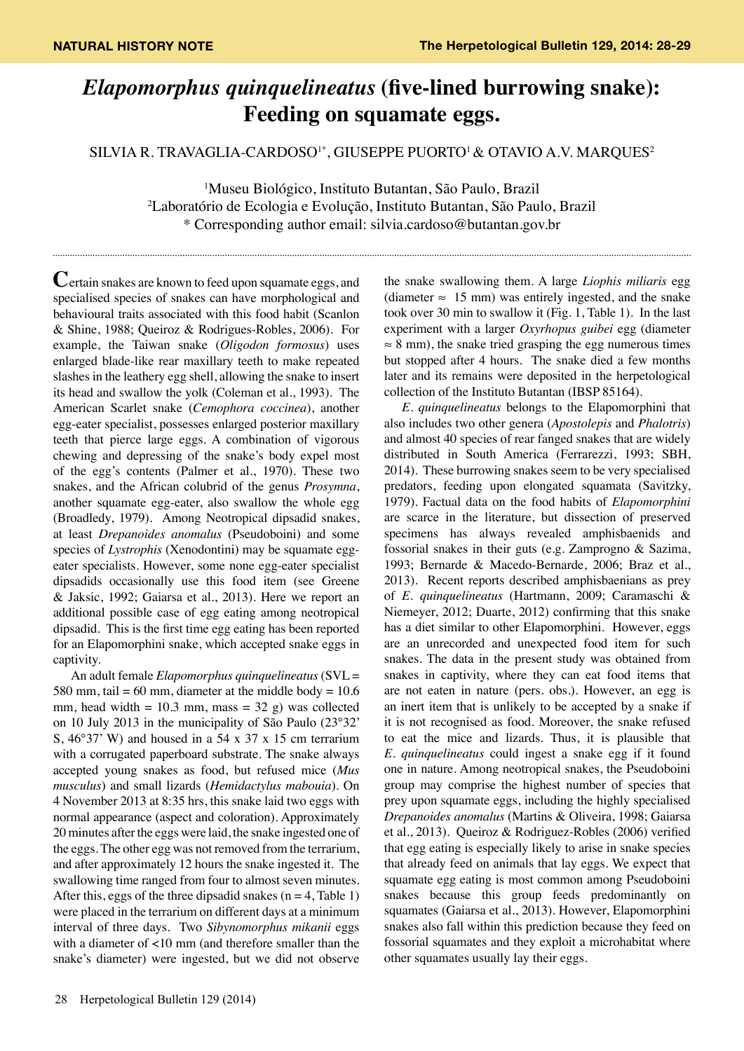## *Elapomorphus quinquelineatus* **(five-lined burrowing snake): Feeding on squamate eggs.**

SILVIA R. TRAVAGLIA-CARDOSO<sup>1\*</sup>, GIUSEPPE PUORTO<sup>1</sup> & OTAVIO A.V. MARQUES<sup>2</sup>

1 Museu Biológico, Instituto Butantan, São Paulo, Brazil 2 Laboratório de Ecologia e Evolução, Instituto Butantan, São Paulo, Brazil \* Corresponding author email: silvia.cardoso@butantan.gov.br

**C**ertain snakes are known to feed upon squamate eggs, and specialised species of snakes can have morphological and behavioural traits associated with this food habit (Scanlon & Shine, 1988; Queiroz & Rodrigues-Robles, 2006). For example, the Taiwan snake (*Oligodon formosus*) uses enlarged blade-like rear maxillary teeth to make repeated slashes in the leathery egg shell, allowing the snake to insert its head and swallow the yolk (Coleman et al., 1993). The American Scarlet snake (*Cemophora coccinea*), another egg-eater specialist, possesses enlarged posterior maxillary teeth that pierce large eggs. A combination of vigorous chewing and depressing of the snake's body expel most of the egg's contents (Palmer et al., 1970). These two snakes, and the African colubrid of the genus *Prosymna*, another squamate egg-eater, also swallow the whole egg (Broadledy, 1979). Among Neotropical dipsadid snakes, at least *Drepanoides anomalus* (Pseudoboini) and some species of *Lystrophis* (Xenodontini) may be squamate eggeater specialists. However, some none egg-eater specialist dipsadids occasionally use this food item (see Greene & Jaksic, 1992; Gaiarsa et al., 2013). Here we report an additional possible case of egg eating among neotropical dipsadid. This is the first time egg eating has been reported for an Elapomorphini snake, which accepted snake eggs in captivity.

An adult female *Elapomorphus quinquelineatus* (SVL = 580 mm, tail = 60 mm, diameter at the middle body =  $10.6$ mm, head width  $= 10.3$  mm, mass  $= 32$  g) was collected on 10 July 2013 in the municipality of São Paulo (23°32' S, 46°37' W) and housed in a 54 x 37 x 15 cm terrarium with a corrugated paperboard substrate. The snake always accepted young snakes as food, but refused mice (*Mus musculus*) and small lizards (*Hemidactylus mabouia*). On 4 November 2013 at 8:35 hrs, this snake laid two eggs with normal appearance (aspect and coloration). Approximately 20 minutes after the eggs were laid, the snake ingested one of the eggs. The other egg was not removed from the terrarium, and after approximately 12 hours the snake ingested it. The swallowing time ranged from four to almost seven minutes. After this, eggs of the three dipsadid snakes ( $n = 4$ , Table 1) were placed in the terrarium on different days at a minimum interval of three days. Two *Sibynomorphus mikanii* eggs with a diameter of <10 mm (and therefore smaller than the snake's diameter) were ingested, but we did not observe

the snake swallowing them. A large *Liophis miliaris* egg (diameter  $\approx$  15 mm) was entirely ingested, and the snake took over 30 min to swallow it (Fig. 1, Table 1). In the last experiment with a larger *Oxyrhopus guibei* egg (diameter  $\approx$  8 mm), the snake tried grasping the egg numerous times but stopped after 4 hours. The snake died a few months later and its remains were deposited in the herpetological collection of the Instituto Butantan (IBSP 85164).

*E. quinquelineatus* belongs to the Elapomorphini that also includes two other genera (*Apostolepis* and *Phalotris*) and almost 40 species of rear fanged snakes that are widely distributed in South America (Ferrarezzi, 1993; SBH, 2014). These burrowing snakes seem to be very specialised predators, feeding upon elongated squamata (Savitzky, 1979). Factual data on the food habits of *Elapomorphini* are scarce in the literature, but dissection of preserved specimens has always revealed amphisbaenids and fossorial snakes in their guts (e.g. Zamprogno & Sazima, 1993; Bernarde & Macedo-Bernarde, 2006; Braz et al., 2013). Recent reports described amphisbaenians as prey of *E. quinquelineatus* (Hartmann, 2009; Caramaschi & Niemeyer, 2012; Duarte, 2012) confirming that this snake has a diet similar to other Elapomorphini. However, eggs are an unrecorded and unexpected food item for such snakes. The data in the present study was obtained from snakes in captivity, where they can eat food items that are not eaten in nature (pers. obs.). However, an egg is an inert item that is unlikely to be accepted by a snake if it is not recognised as food. Moreover, the snake refused to eat the mice and lizards. Thus, it is plausible that *E. quinquelineatus* could ingest a snake egg if it found one in nature. Among neotropical snakes, the Pseudoboini group may comprise the highest number of species that prey upon squamate eggs, including the highly specialised *Drepanoides anomalus* (Martins & Oliveira, 1998; Gaiarsa et al., 2013). Queiroz & Rodriguez-Robles (2006) verified that egg eating is especially likely to arise in snake species that already feed on animals that lay eggs. We expect that squamate egg eating is most common among Pseudoboini snakes because this group feeds predominantly on squamates (Gaiarsa et al., 2013). However, Elapomorphini snakes also fall within this prediction because they feed on fossorial squamates and they exploit a microhabitat where other squamates usually lay their eggs.